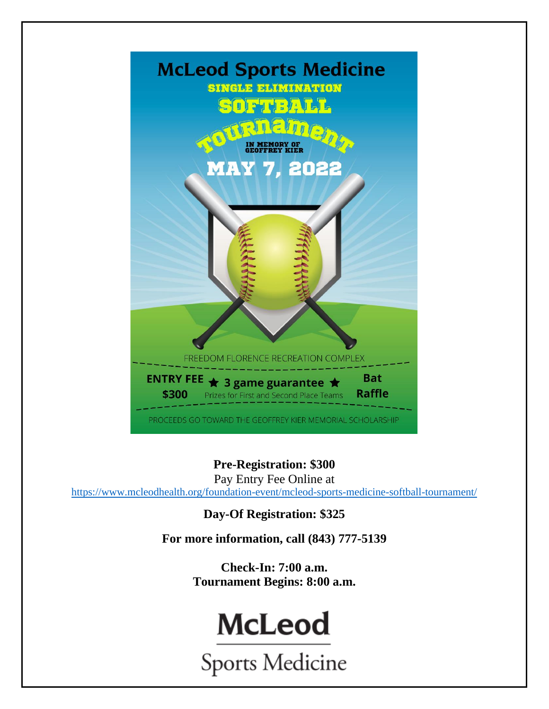

**Pre-Registration: \$300**

Pay Entry Fee Online at

<https://www.mcleodhealth.org/foundation-event/mcleod-sports-medicine-softball-tournament/>

**Day-Of Registration: \$325**

**For more information, call (843) 777-5139**

**Check-In: 7:00 a.m. Tournament Begins: 8:00 a.m.**

# **McLeod**

**Sports Medicine**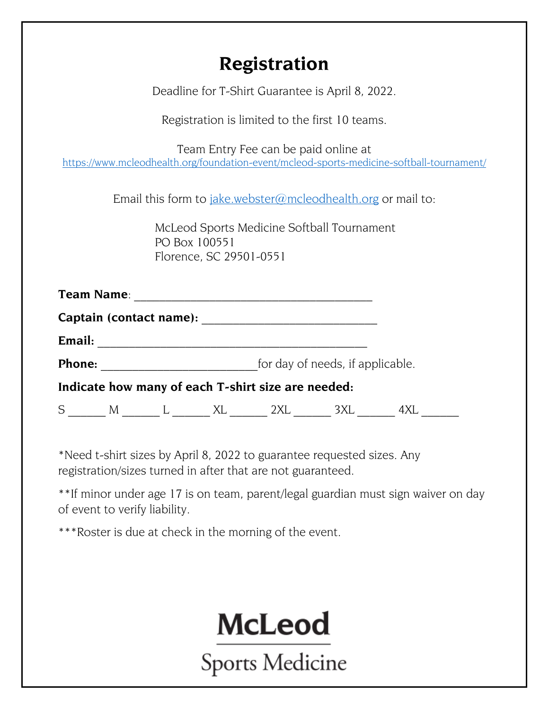### **Registration**

Deadline for T-Shirt Guarantee is April 8, 2022.

Registration is limited to the first 10 teams.

Team Entry Fee can be paid online at <https://www.mcleodhealth.org/foundation-event/mcleod-sports-medicine-softball-tournament/>

Email this form to [jake.webster@mcleodhealth.org](mailto:jake.webster@mcleodhealth.org) or mail to:

McLeod Sports Medicine Softball Tournament PO Box 100551 Florence, SC 29501-0551

|                         | <b>Team Name:</b> |  |  |                                                    |  |  |  |  |  |
|-------------------------|-------------------|--|--|----------------------------------------------------|--|--|--|--|--|
| Captain (contact name): |                   |  |  |                                                    |  |  |  |  |  |
| Email:                  |                   |  |  |                                                    |  |  |  |  |  |
| Phone:                  |                   |  |  | for day of needs, if applicable.                   |  |  |  |  |  |
|                         |                   |  |  | Indicate how many of each T-shirt size are needed: |  |  |  |  |  |
| S                       | M                 |  |  |                                                    |  |  |  |  |  |

\*Need t-shirt sizes by April 8, 2022 to guarantee requested sizes. Any registration/sizes turned in after that are not guaranteed.

\*\*If minor under age 17 is on team, parent/legal guardian must sign waiver on day of event to verify liability.

\*\*\*Roster is due at check in the morning of the event.

**McLeod** 

Sports Medicine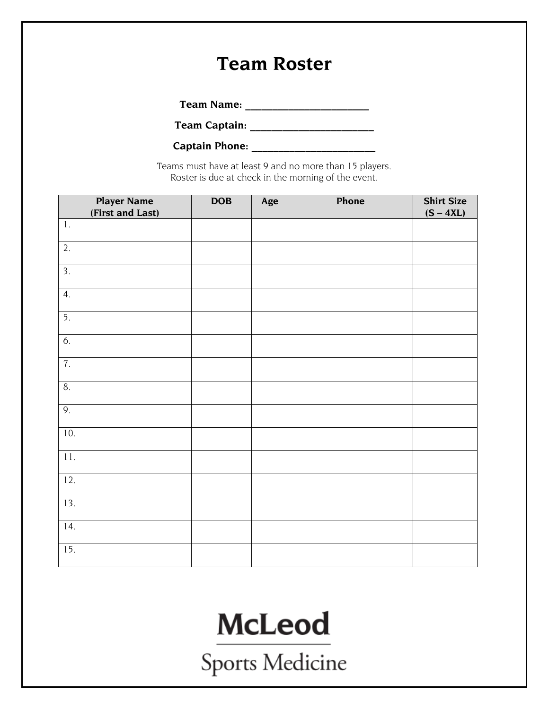### **Team Roster**

**Team Name: \_\_\_\_\_\_\_\_\_\_\_\_\_\_\_\_\_\_\_\_\_\_\_**

**Team Captain: \_\_\_\_\_\_\_\_\_\_\_\_\_\_\_\_\_\_\_\_\_\_\_**

**Captain Phone: \_\_\_\_\_\_\_\_\_\_\_\_\_\_\_\_\_\_\_\_\_\_\_**

Teams must have at least 9 and no more than 15 players. Roster is due at check in the morning of the event.

| <b>Player Name</b><br>(First and Last) | DOB | Age | Phone | <b>Shirt Size</b><br>$(S - 4XL)$ |
|----------------------------------------|-----|-----|-------|----------------------------------|
| $1\,.$                                 |     |     |       |                                  |
| 2.                                     |     |     |       |                                  |
| $\overline{3}$ .                       |     |     |       |                                  |
| 4.                                     |     |     |       |                                  |
| $\overline{5}$ .                       |     |     |       |                                  |
| 6.                                     |     |     |       |                                  |
| 7.                                     |     |     |       |                                  |
| 8.                                     |     |     |       |                                  |
| 9.                                     |     |     |       |                                  |
| 10.                                    |     |     |       |                                  |
| 11.                                    |     |     |       |                                  |
| 12.                                    |     |     |       |                                  |
| 13.                                    |     |     |       |                                  |
| 14.                                    |     |     |       |                                  |
| $\overline{15}$ .                      |     |     |       |                                  |

## **McLeod**

Sports Medicine